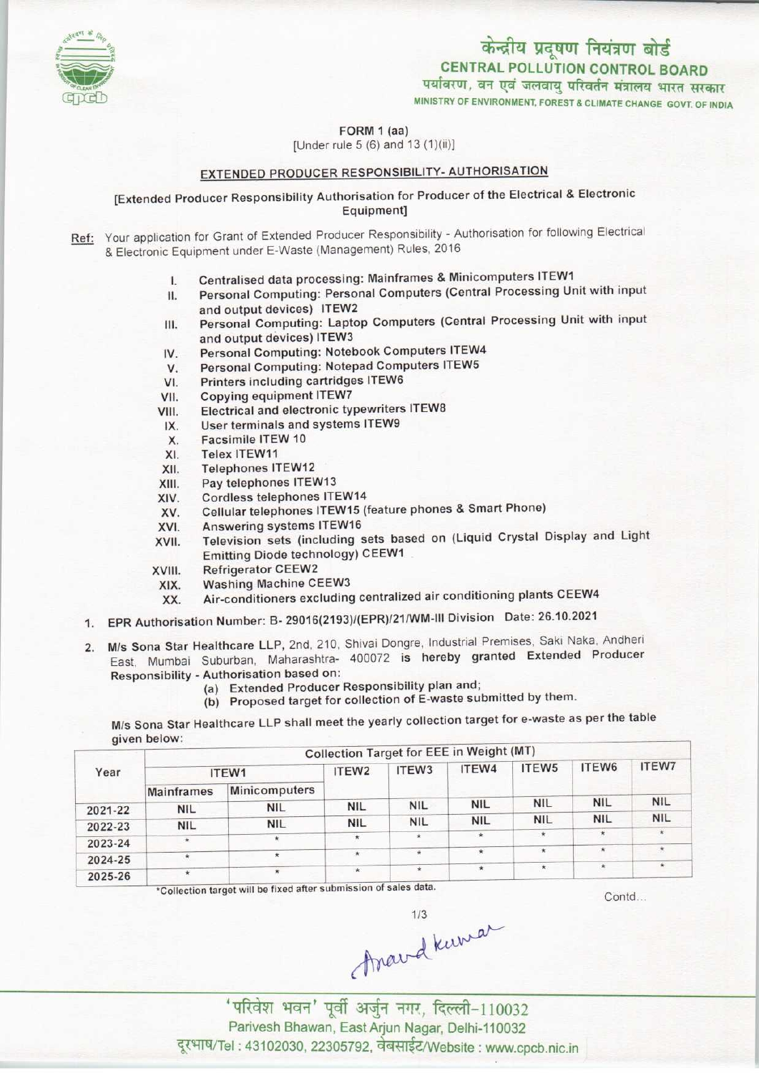

MINISTRY OF ENVIRONMENT, FOREST & CLIMATE CHANGE GOVT. OF INDIA

FORM 1 (aa)

[Under rule 5 (6) and 13 (1)(ii)]

## EXTENDED PRODUCER RESPONSIBILITY- AUTHORISATION

[Extended Producer Responsibility Authorisation for Producer ofthe Electrical & Electronic Equipment]

Ref: Your application for Grant of Extended Producer Responsibility - Authorisation for following Electrical & Electronic Equipment under E-Waste (Management) Rules, 2016

- 
- I. Centralised data processing: Mainframes & Minicomputers ITEW1<br>II. Personal Computing: Personal Computers (Central Processing Ur Personal Computing: Personal Computers (Central Processing Unit with input and output devices) ITEW2 II. Personal Computing: Personal Computers (Central Processing Unit with input<br>and output devices) ITEW2<br>III. Personal Computing: Laptop Computers (Central Processing Unit with input
- and output devices) ITEW3 III. Personal Computing: Laptop Computers (Central<br>and output devices) ITEW3<br>IV. Personal Computing: Notebook Computers ITEW4 III. Personal Computing: Laptop Computers (Central<br>and output devices) ITEW3<br>IV. Personal Computing: Notebook Computers ITEW4<br>V. Personal Computing: Notepad Computers ITEW5<br>VI. Printers including cartridges ITEW6
- 
- 
- IV. Personal Computing: Notebook Cor<br>VI. Printers including cartridges ITEW6<br>VI. Copying equipment ITEW7 V. Personal Computing: Note<br>VI. Printers including cartridg<br>VII. Copying equipment ITEW7<br>VIII. Flectrical and electronic ty
- 
- VI. Printers including cartridges ITEW6<br>VII. Copying equipment ITEW7<br>VIII. Electrical and electronic typewriters ITEW8 V. Copying equipment ITEW7<br>III. Electrical and electronic typewriter<br>IX. User terminals and systems ITEW9<br>Y. Eacsimile ITEW 10 II. Electrical and electrical and electrical and electrical and electrical and electrical and Electrical and Telex ITEW 10
- VIII. Electrical and electronic typewriter:<br>IX. User terminals and systems ITEW9<br>X. Facsimile ITEW 10<br>XI. Telex ITEW11<br>XII. Telephones ITEW12
	-
- 
- 
- XII. Telephones ITEW12<br>XIII. Pay telephones ITEV
- XIII. Pay telephones ITEW13<br>XIV. Cordless telephones ITE XIV. Cordless telephones ITEW14<br>XV. Cellular telephones ITEW15 (1
- XIII. Pay telephones ITEW13<br>XIII. Pay telephones ITEW14<br>XV. Cellular telephones ITEW15 (feature phones & Smart Phone)
- XIV. Cordless telephones ITEW1<br>XV. Cellular telephones ITEW15<br>XVI. Answering systems ITEW16
- XIV. Cordiess telephones ITEW14<br>XVI. Cellular telephones ITEW15 (feature phones & Smart Phone)<br>XVII. Television sets (including sets based on (Liquid Crystal Display and Light<br>XVII. Television sets (including sets based on Emitting Diode technology) CEEW1 XVII. Television sets (inc.<br>Emitting Diode tech<br>XVIII. Refrigerator CEEW2<br>XIX. Washing Machine C
- 
- XVIII. Refrigerator CEEW2<br>XIX. Washing Machine CEEW3
	- XX. Air-conditioners excluding centralized air conditioning plants CEEW4
- 1.EPR Authorisation Number: B- 29016(2193)/(EPR)/21/WM-lll Division Date: 26.10.2021
- 2. M/s Sona Star Healthcare LLP, 2nd, 210, Shivai Dongre, Industrial Premises, Saki Naka, Andheri East, Mumbai Suburban, Maharashtra- 400072 is hereby granted Extended Producer Responsibility - Authorisation based on:
	- (a)Extended Producer Responsibility plan and;
		- (b) Proposed target for collection of E-waste submitted by them.

M/s Sona Star Healthcare LLP shall meet the yearly collection target for e-waste as per the table given below:

|                   |                          | ITEW <sub>2</sub> | ITEW <sub>3</sub> | ITEW4      | ITEW <sub>5</sub> | ITEW6                                           | <b>ITEW7</b> |
|-------------------|--------------------------|-------------------|-------------------|------------|-------------------|-------------------------------------------------|--------------|
| <b>Mainframes</b> | <b>Minicomputers</b>     |                   |                   |            |                   |                                                 |              |
|                   | <b>NIL</b>               | <b>NIL</b>        | <b>NIL</b>        | <b>NIL</b> | <b>NIL</b>        | <b>NIL</b>                                      | <b>NIL</b>   |
|                   | <b>NIL</b>               | <b>NIL</b>        | <b>NIL</b>        | <b>NIL</b> | <b>NIL</b>        | <b>NIL</b>                                      | <b>NIL</b>   |
| $\star$           | $\star$                  | $\star$           | $\star$           | $\star$    | $\star$           | $\star$                                         | $\star$      |
|                   | $\star$                  | $\star$           |                   | $\star$    | $\star$           | $\star$                                         | $\star$      |
|                   |                          | $\star$           | $\star$           | $\star$    |                   | $\star$                                         | $\star$      |
|                   | <b>NIL</b><br><b>NIL</b> | ITEW1             |                   |            |                   | <b>Collection Target for EEE in Weight (MT)</b> |              |

\*Collection target will be fixed after submission of sales data.

Contd...

mard kura

'परिवेश भवन' पूर्वी अर्जुन नगर, दिल्ली-110032 Parivesh Bhawan, East Arjun Nagar, Delhi-110032 दूरभाष/Tel : 43102030, 22305792, वेबसाईट/Website : www.cpcb.nic.in

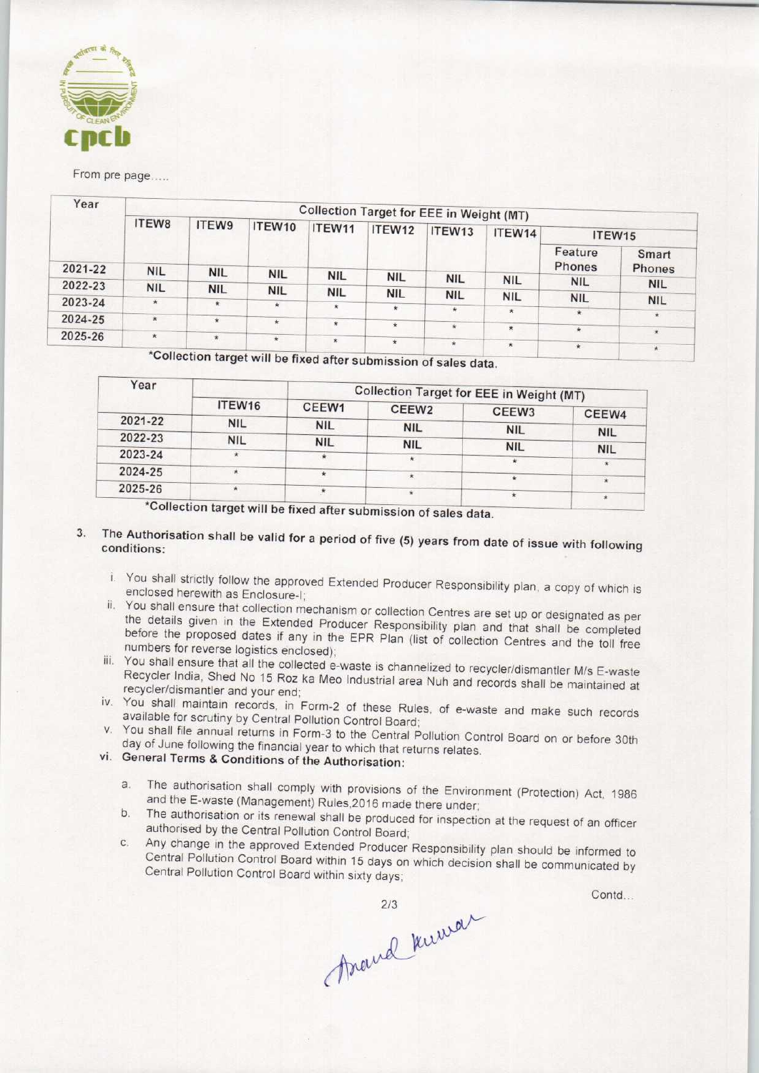

| Year    |                       |                                                                  |            |            |            | Collection Target for EEE in Weight (MT) |                    |                   |                 |
|---------|-----------------------|------------------------------------------------------------------|------------|------------|------------|------------------------------------------|--------------------|-------------------|-----------------|
|         | ITEW8                 | ITEW9                                                            | ITEW10     | ITEW11     | ITEW12     | ITEW13                                   | ITEW14             | ITEW15            |                 |
|         | 2021-22<br><b>NIL</b> |                                                                  |            |            |            |                                          |                    | Feature<br>Phones | Smart<br>Phones |
| 2022-23 |                       | <b>NIL</b>                                                       | <b>NIL</b> | <b>NIL</b> | <b>NIL</b> | <b>NIL</b>                               | <b>NIL</b>         | <b>NIL</b>        | <b>NIL</b>      |
|         | <b>NIL</b>            | <b>NIL</b>                                                       | <b>NIL</b> | <b>NIL</b> | <b>NIL</b> | <b>NIL</b>                               | <b>NIL</b>         | <b>NIL</b>        | <b>NIL</b>      |
| 2023-24 | $\star$               | <b>*</b>                                                         | $\star$    | $\star$    | $\star$    | $\star$                                  | $\star$            | $\star$           | $\star$         |
| 2024-25 | $\star$               | $\star$                                                          | $\star$    | $\star$    | $\star$    | $\star$                                  | $\star$            | $\star$           |                 |
| 2025-26 | $\star$               | $\star$                                                          | $\star$    | $\star$    | $\star$    | $\star$                                  | $\hat{\mathbf{x}}$ |                   | $\star$         |
|         |                       | *Collection target will be fixed after submission of sales data. |            |            |            |                                          |                    | $\star$           | $\star$         |

| ITEW <sub>16</sub><br><b>NIL</b> | CEEW1      | CEEW <sub>2</sub> | <b>Collection Target for EEE in Weight (MT)</b> |                       |
|----------------------------------|------------|-------------------|-------------------------------------------------|-----------------------|
|                                  |            |                   | CEEW <sub>3</sub>                               | CEEW4                 |
|                                  | <b>NIL</b> | <b>NIL</b>        | <b>NIL</b>                                      |                       |
| <b>NIL</b>                       |            |                   |                                                 | <b>NIL</b>            |
|                                  | ∗          | $\star$           |                                                 | <b>NIL</b>            |
| ×.                               |            |                   |                                                 |                       |
| $\star$                          |            |                   |                                                 |                       |
| $30 - 11 - 11$                   |            | <b>NIL</b><br>丼   | <b>NIL</b><br>$\star$                           | <b>NIL</b><br>$\star$ |

Collection target will be fixed after submission of sales data.

## 3. The Authorisation shall be valid for a period of five  $(5)$  years from date of issue with  $f(x)$ conditions:

- i. You shall strictly follow the approved Extended Producer Responsibility plan, a copy of which is enclosed herewith as Enclosure-I;
- ii. You shall ensure that collection mechanism or collection Centres are set up or designated as per the details given in the Extended Producer Responsibility plan and that shall be completed before the proposed dates if any in the EPR Plan (list of collection Centres and the toll free numbers for reverse logistics enclosed);
- iii. You shall ensure that all the collected e-waste is channelized to recycler/dismantler M/s E-waste Recycler India, Shed No 15 Roz ka Meo Industrial area Nuh and records shall be maintained at recycler/dismantler and your end;
- iv. You shall maintain records, in Form-2 of these Rules, of e-waste and make such records available for scrutiny by Central Pollution Control Board;
- v. You shall file annual returns in Form-3 to the Central Pollution Control Board on or before 30th day of June following the financial year to which that returns relates.

## vi. General Terms & Conditions of the Authorisation:

- a.The authorisation shall comply with provisions of the Environment (Protection) Act, <sup>1986</sup> and the E-waste (Management) Rules,2016 made there under;
- b. The authorisation or its renewal shall be produced for inspection at the request of an officer authorised by the Central Pollution Control Board;
- c.Any change in the approved Extended Producer Responsibility plan should be informed to Central Pollution Control Board within 15 days on which decision shall be communicated by Central Pollution Control Board within sixty days;

Assaud Kurwar

Contd...